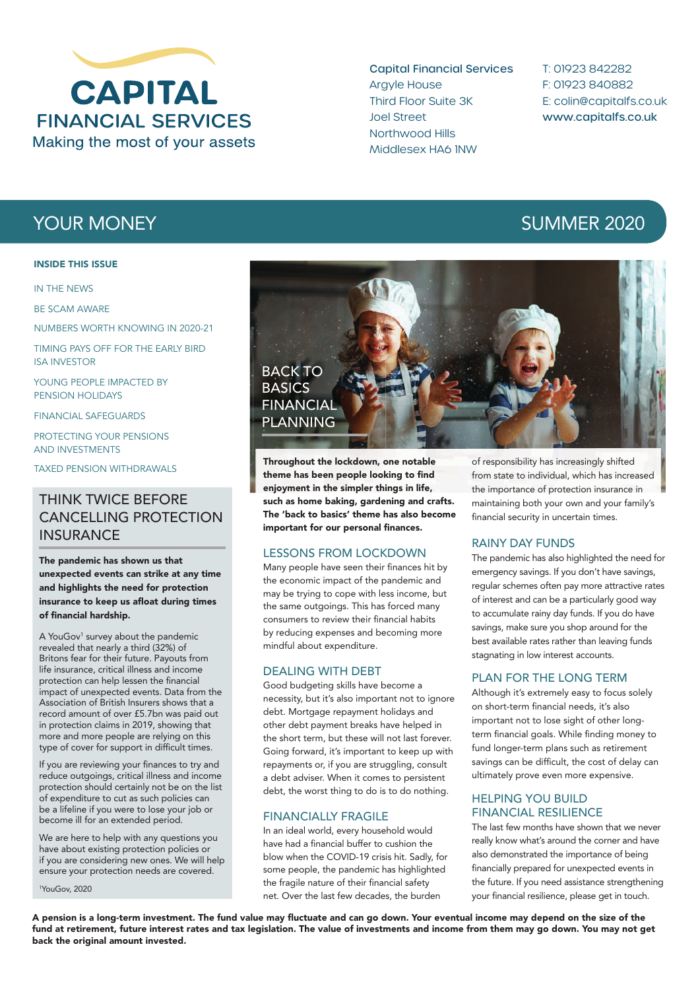

Capital Financial Services Argyle House Third Floor Suite 3K Joel Street Northwood Hills Middlesex HA6 1NW

T: 01923 842282 F: 01923 840882 E: colin@capitalfs.co.uk www.capitalfs.co.uk

#### INSIDE THIS ISSUE

IN THE NEWS

BE SCAM AWARE

NUMBERS WORTH KNOWING IN 2020-21

TIMING PAYS OFF FOR THE EARLY BIRD ISA INVESTOR

YOUNG PEOPLE IMPACTED BY PENSION HOLIDAYS

FINANCIAL SAFEGUARDS

PROTECTING YOUR PENSIONS AND INVESTMENTS

TAXED PENSION WITHDRAWALS

# THINK TWICE BEFORE CANCELLING PROTECTION **INSURANCE**

The pandemic has shown us that unexpected events can strike at any time and highlights the need for protection insurance to keep us afloat during times of financial hardship.

A YouGov<sup>1</sup> survey about the pandemic revealed that nearly a third (32%) of Britons fear for their future. Payouts from life insurance, critical illness and income protection can help lessen the financial impact of unexpected events. Data from the Association of British Insurers shows that a record amount of over £5.7bn was paid out in protection claims in 2019, showing that more and more people are relying on this type of cover for support in difficult times.

If you are reviewing your finances to try and reduce outgoings, critical illness and income protection should certainly not be on the list of expenditure to cut as such policies can be a lifeline if you were to lose your job or become ill for an extended period.

We are here to help with any questions you have about existing protection policies or if you are considering new ones. We will help ensure your protection needs are covered.

1 YouGov, 2020





Throughout the lockdown, one notable theme has been people looking to find enjoyment in the simpler things in life, such as home baking, gardening and crafts. The 'back to basics' theme has also become important for our personal finances.

#### LESSONS FROM LOCKDOWN

Many people have seen their finances hit by the economic impact of the pandemic and may be trying to cope with less income, but the same outgoings. This has forced many consumers to review their financial habits by reducing expenses and becoming more mindful about expenditure.

#### DEALING WITH DEBT

Good budgeting skills have become a necessity, but it's also important not to ignore debt. Mortgage repayment holidays and other debt payment breaks have helped in the short term, but these will not last forever. Going forward, it's important to keep up with repayments or, if you are struggling, consult a debt adviser. When it comes to persistent debt, the worst thing to do is to do nothing.

#### FINANCIALLY FRAGILE

In an ideal world, every household would have had a financial buffer to cushion the blow when the COVID-19 crisis hit. Sadly, for some people, the pandemic has highlighted the fragile nature of their financial safety net. Over the last few decades, the burden

of responsibility has increasingly shifted from state to individual, which has increased the importance of protection insurance in maintaining both your own and your family's financial security in uncertain times.

#### RAINY DAY FUNDS

The pandemic has also highlighted the need for emergency savings. If you don't have savings, regular schemes often pay more attractive rates of interest and can be a particularly good way to accumulate rainy day funds. If you do have savings, make sure you shop around for the best available rates rather than leaving funds stagnating in low interest accounts.

#### PLAN FOR THE LONG TERM

Although it's extremely easy to focus solely on short-term financial needs, it's also important not to lose sight of other longterm financial goals. While finding money to fund longer-term plans such as retirement savings can be difficult, the cost of delay can ultimately prove even more expensive.

#### HELPING YOU BUILD FINANCIAL RESILIENCE

The last few months have shown that we never really know what's around the corner and have also demonstrated the importance of being financially prepared for unexpected events in the future. If you need assistance strengthening your financial resilience, please get in touch.

A pension is a long-term investment. The fund value may fluctuate and can go down. Your eventual income may depend on the size of the fund at retirement, future interest rates and tax legislation. The value of investments and income from them may go down. You may not get back the original amount invested.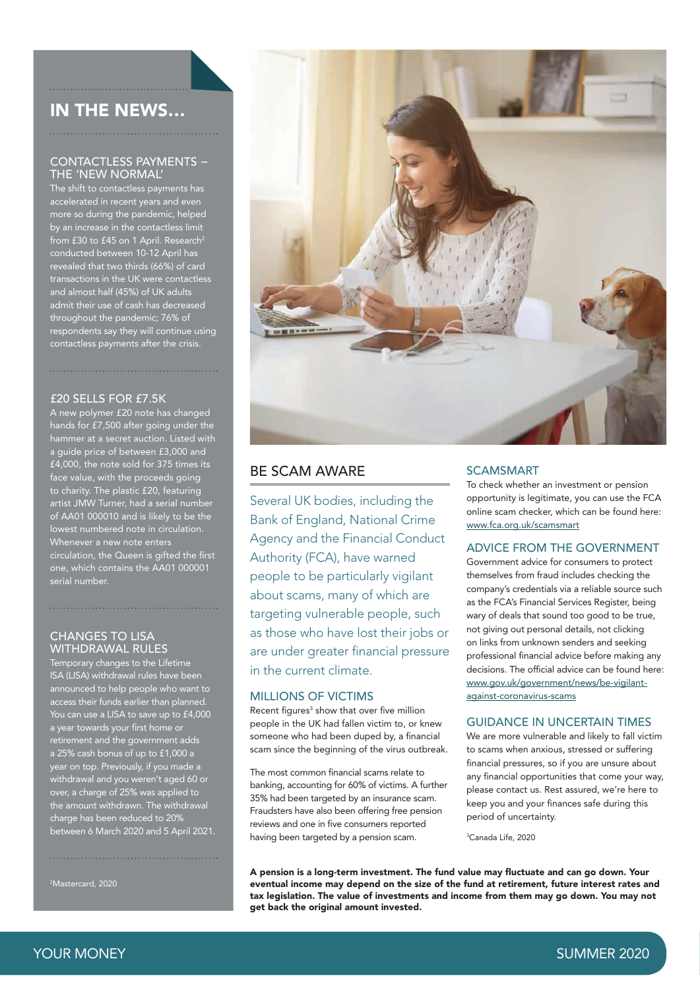# IN THE NEWS…

#### CONTACTLESS PAYMENTS − THE 'NEW NORMAL'

The shift to contactless payments has accelerated in recent years and even more so during the pandemic, helped by an increase in the contactless limit  $\frac{1}{100}$  from £30 to £45 on 1 April. Research<sup>2</sup> conducted between 10-12 April has revealed that two thirds (66%) of card transactions in the UK were contactless and almost half (45%) of UK adults admit their use of cash has decreased throughout the pandemic; 76% of respondents say they will continue using contactless payments after the crisis.

### £20 SELLS FOR £7.5K

A new polymer £20 note has changed hands for £7,500 after going under the a guide price of between £3,000 and £4,000, the note sold for 375 times its face value, with the proceeds going to charity. The plastic £20, featuring artist JMW Turner, had a serial number of AA01 000010 and is likely to be the lowest numbered note in circulation. Whenever a new note enters circulation, the Queen is gifted the first one, which contains the AA01 000001 serial number.

#### CHANGES TO LISA WITHDRAWAL RULES

Temporary changes to the Lifetime ISA (LISA) withdrawal rules have been announced to help people who want to access their funds earlier than planned. You can use a LISA to save up to £4,000 a year towards your first home or retirement and the government adds a 25% cash bonus of up to £1,000 a year on top. Previously, if you made a withdrawal and you weren't aged 60 or over, a charge of 25% was applied to the amount withdrawn. The withdrawal charge has been reduced to 20% between 6 March 2020 and 5 April 2021.

2 Mastercard, 2020



## BE SCAM AWARE

Several UK bodies, including the Bank of England, National Crime Agency and the Financial Conduct Authority (FCA), have warned people to be particularly vigilant about scams, many of which are targeting vulnerable people, such as those who have lost their jobs or are under greater financial pressure in the current climate.

#### MILLIONS OF VICTIMS

Recent figures<sup>3</sup> show that over five million people in the UK had fallen victim to, or knew someone who had been duped by, a financial scam since the beginning of the virus outbreak.

The most common financial scams relate to banking, accounting for 60% of victims. A further 35% had been targeted by an insurance scam. Fraudsters have also been offering free pension reviews and one in five consumers reported having been targeted by a pension scam.

#### SCAMSMART

To check whether an investment or pension opportunity is legitimate, you can use the FCA online scam checker, which can be found here: www.fca.org.uk/scamsmart

#### ADVICE FROM THE GOVERNMENT

Government advice for consumers to protect themselves from fraud includes checking the company's credentials via a reliable source such as the FCA's Financial Services Register, being wary of deals that sound too good to be true, not giving out personal details, not clicking on links from unknown senders and seeking professional financial advice before making any decisions. The official advice can be found here: www.gov.uk/government/news/be-vigilantagainst-coronavirus-scams

#### GUIDANCE IN UNCERTAIN TIMES

We are more vulnerable and likely to fall victim to scams when anxious, stressed or suffering financial pressures, so if you are unsure about any financial opportunities that come your way, please contact us. Rest assured, we're here to keep you and your finances safe during this period of uncertainty.

3 Canada Life, 2020

A pension is a long-term investment. The fund value may fluctuate and can go down. Your eventual income may depend on the size of the fund at retirement, future interest rates and tax legislation. The value of investments and income from them may go down. You may not get back the original amount invested.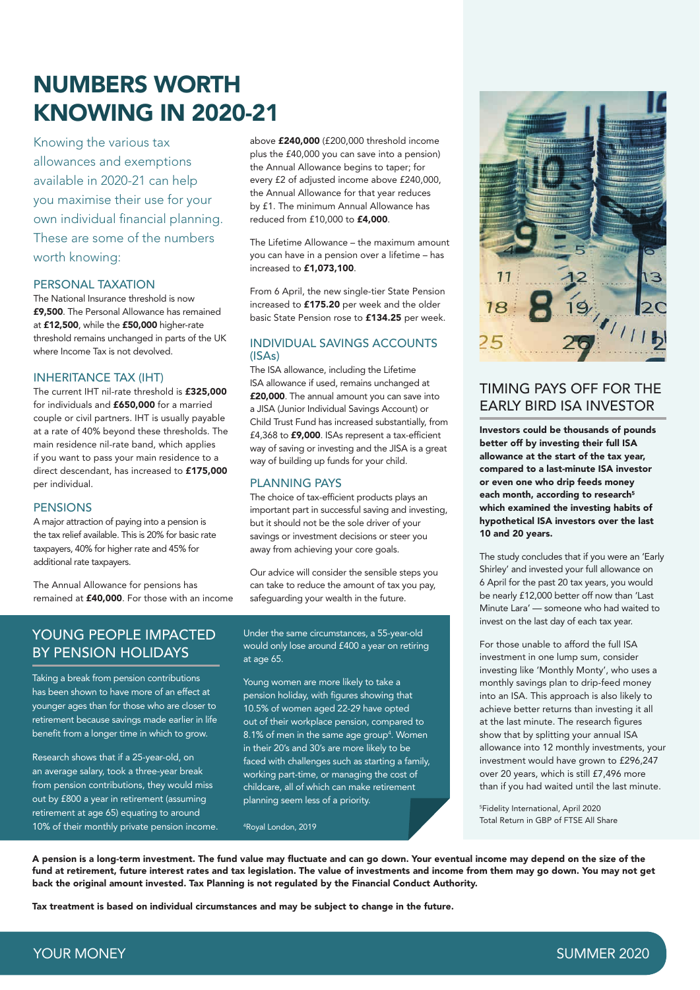# NUMBERS WORTH KNOWING IN 2020-21

Knowing the various tax allowances and exemptions available in 2020-21 can help you maximise their use for your own individual financial planning. These are some of the numbers worth knowing:

#### PERSONAL TAXATION

The National Insurance threshold is now £9,500. The Personal Allowance has remained at £12,500, while the £50,000 higher-rate threshold remains unchanged in parts of the UK where Income Tax is not devolved.

#### INHERITANCE TAX (IHT)

The current IHT nil-rate threshold is £325,000 for individuals and £650,000 for a married couple or civil partners. IHT is usually payable at a rate of 40% beyond these thresholds. The main residence nil-rate band, which applies if you want to pass your main residence to a direct descendant, has increased to £175,000 per individual.

#### PENSIONS

A major attraction of paying into a pension is the tax relief available. This is 20% for basic rate taxpayers, 40% for higher rate and 45% for additional rate taxpayers.

The Annual Allowance for pensions has remained at £40,000. For those with an income above £240,000 (£200,000 threshold income plus the £40,000 you can save into a pension) the Annual Allowance begins to taper; for every £2 of adjusted income above £240,000, the Annual Allowance for that year reduces by £1. The minimum Annual Allowance has reduced from £10,000 to £4,000.

The Lifetime Allowance – the maximum amount you can have in a pension over a lifetime – has increased to £1,073,100.

From 6 April, the new single-tier State Pension increased to £175.20 per week and the older basic State Pension rose to £134.25 per week.

#### INDIVIDUAL SAVINGS ACCOUNTS (ISAs)

The ISA allowance, including the Lifetime ISA allowance if used, remains unchanged at £20,000. The annual amount you can save into a JISA (Junior Individual Savings Account) or Child Trust Fund has increased substantially, from £4,368 to £9,000. ISAs represent a tax-efficient way of saving or investing and the JISA is a great way of building up funds for your child.

#### PLANNING PAYS

The choice of tax-efficient products plays an important part in successful saving and investing, but it should not be the sole driver of your savings or investment decisions or steer you away from achieving your core goals.

Our advice will consider the sensible steps you can take to reduce the amount of tax you pay, safeguarding your wealth in the future.

# YOUNG PEOPLE IMPACTED BY PENSION HOLIDAYS

Taking a break from pension contributions has been shown to have more of an effect at younger ages than for those who are closer to retirement because savings made earlier in life benefit from a longer time in which to grow.

Research shows that if a 25-year-old, on an average salary, took a three-year break from pension contributions, they would miss out by £800 a year in retirement (assuming retirement at age 65) equating to around 10% of their monthly private pension income.

#### Under the same circumstances, a 55-year-old would only lose around £400 a year on retiring at age 65.

Young women are more likely to take a pension holiday, with figures showing that 10.5% of women aged 22-29 have opted out of their workplace pension, compared to 8.1% of men in the same age group<sup>4</sup>. Women in their 20's and 30's are more likely to be faced with challenges such as starting a family, working part-time, or managing the cost of childcare, all of which can make retirement planning seem less of a priority.

4 Royal London, 2019



# TIMING PAYS OFF FOR THE EARLY BIRD ISA INVESTOR

Investors could be thousands of pounds better off by investing their full ISA allowance at the start of the tax year, compared to a last-minute ISA investor or even one who drip feeds money each month, according to research<sup>5</sup> which examined the investing habits of hypothetical ISA investors over the last 10 and 20 years.

The study concludes that if you were an 'Early Shirley' and invested your full allowance on 6 April for the past 20 tax years, you would be nearly £12,000 better off now than 'Last Minute Lara' — someone who had waited to invest on the last day of each tax year.

For those unable to afford the full ISA investment in one lump sum, consider investing like 'Monthly Monty', who uses a monthly savings plan to drip-feed money into an ISA. This approach is also likely to achieve better returns than investing it all at the last minute. The research figures show that by splitting your annual ISA allowance into 12 monthly investments, your investment would have grown to £296,247 over 20 years, which is still £7,496 more than if you had waited until the last minute.

5 Fidelity International, April 2020 Total Return in GBP of FTSE All Share

A pension is a long-term investment. The fund value may fluctuate and can go down. Your eventual income may depend on the size of the fund at retirement, future interest rates and tax legislation. The value of investments and income from them may go down. You may not get back the original amount invested. Tax Planning is not regulated by the Financial Conduct Authority.

Tax treatment is based on individual circumstances and may be subject to change in the future.